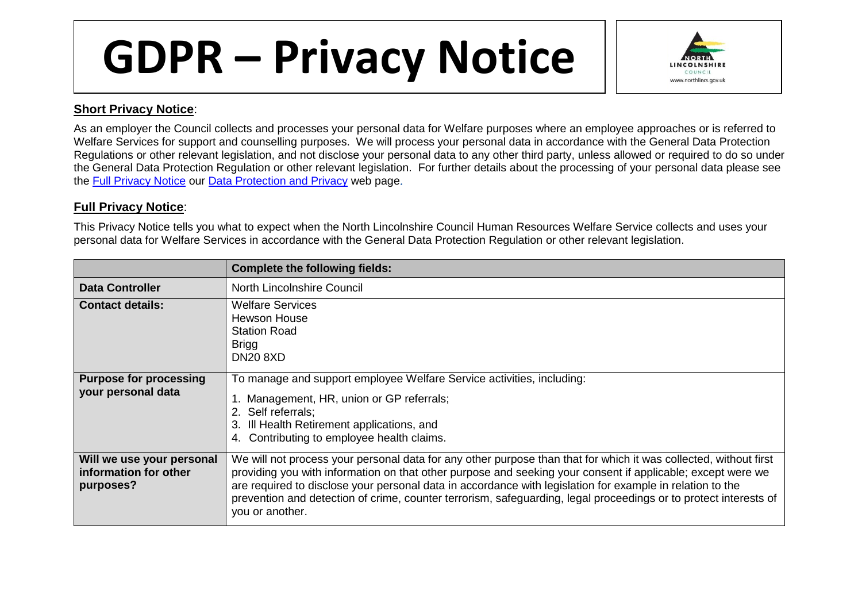## **GDPR – Privacy Notice**



## **Short Privacy Notice**:

As an employer the Council collects and processes your personal data for Welfare purposes where an employee approaches or is referred to Welfare Services for support and counselling purposes. We will process your personal data in accordance with the General Data Protection Regulations or other relevant legislation, and not disclose your personal data to any other third party, unless allowed or required to do so under the General Data Protection Regulation or other relevant legislation. For further details about the processing of your personal data please see the Full [Privacy Notice](http://www.northlincs.gov.uk/site/privacy/) our [Data Protection and Privacy](http://www.northlincs.gov.uk/your-council/information-and-performance/information-governance/dataprotection/) web page

## **Full Privacy Notice**:

This Privacy Notice tells you what to expect when the North Lincolnshire Council Human Resources Welfare Service collects and uses your personal data for Welfare Services in accordance with the General Data Protection Regulation or other relevant legislation.

|                                                                 | <b>Complete the following fields:</b>                                                                                                                                                                                                                                                                                                                                                                                                                                               |
|-----------------------------------------------------------------|-------------------------------------------------------------------------------------------------------------------------------------------------------------------------------------------------------------------------------------------------------------------------------------------------------------------------------------------------------------------------------------------------------------------------------------------------------------------------------------|
| <b>Data Controller</b>                                          | North Lincolnshire Council                                                                                                                                                                                                                                                                                                                                                                                                                                                          |
| <b>Contact details:</b>                                         | <b>Welfare Services</b><br><b>Hewson House</b><br><b>Station Road</b><br><b>Brigg</b><br><b>DN20 8XD</b>                                                                                                                                                                                                                                                                                                                                                                            |
| <b>Purpose for processing</b><br>your personal data             | To manage and support employee Welfare Service activities, including:<br>1. Management, HR, union or GP referrals;<br>2. Self referrals:<br>3. Ill Health Retirement applications, and<br>4. Contributing to employee health claims.                                                                                                                                                                                                                                                |
| Will we use your personal<br>information for other<br>purposes? | We will not process your personal data for any other purpose than that for which it was collected, without first<br>providing you with information on that other purpose and seeking your consent if applicable; except were we<br>are required to disclose your personal data in accordance with legislation for example in relation to the<br>prevention and detection of crime, counter terrorism, safeguarding, legal proceedings or to protect interests of<br>you or another. |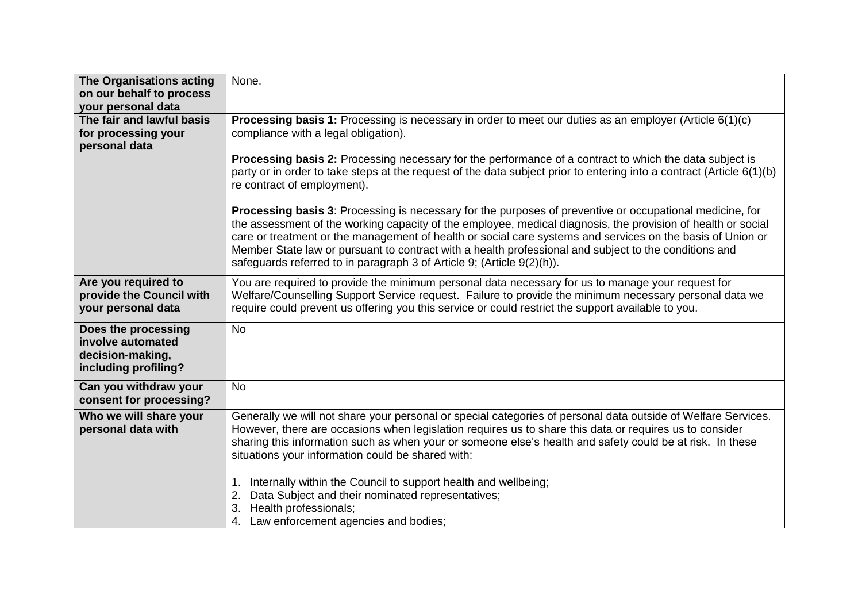| The Organisations acting<br>on our behalf to process<br>your personal data           | None.                                                                                                                                                                                                                                                                                                                                                                                                                                                                                                                                                                                             |
|--------------------------------------------------------------------------------------|---------------------------------------------------------------------------------------------------------------------------------------------------------------------------------------------------------------------------------------------------------------------------------------------------------------------------------------------------------------------------------------------------------------------------------------------------------------------------------------------------------------------------------------------------------------------------------------------------|
| The fair and lawful basis<br>for processing your<br>personal data                    | <b>Processing basis 1:</b> Processing is necessary in order to meet our duties as an employer (Article $6(1)(c)$ )<br>compliance with a legal obligation).                                                                                                                                                                                                                                                                                                                                                                                                                                        |
|                                                                                      | <b>Processing basis 2:</b> Processing necessary for the performance of a contract to which the data subject is<br>party or in order to take steps at the request of the data subject prior to entering into a contract (Article 6(1)(b)<br>re contract of employment).                                                                                                                                                                                                                                                                                                                            |
|                                                                                      | <b>Processing basis 3:</b> Processing is necessary for the purposes of preventive or occupational medicine, for<br>the assessment of the working capacity of the employee, medical diagnosis, the provision of health or social<br>care or treatment or the management of health or social care systems and services on the basis of Union or<br>Member State law or pursuant to contract with a health professional and subject to the conditions and<br>safeguards referred to in paragraph 3 of Article 9; (Article 9(2)(h)).                                                                  |
| Are you required to<br>provide the Council with<br>your personal data                | You are required to provide the minimum personal data necessary for us to manage your request for<br>Welfare/Counselling Support Service request. Failure to provide the minimum necessary personal data we<br>require could prevent us offering you this service or could restrict the support available to you.                                                                                                                                                                                                                                                                                 |
| Does the processing<br>involve automated<br>decision-making,<br>including profiling? | <b>No</b>                                                                                                                                                                                                                                                                                                                                                                                                                                                                                                                                                                                         |
| Can you withdraw your<br>consent for processing?                                     | <b>No</b>                                                                                                                                                                                                                                                                                                                                                                                                                                                                                                                                                                                         |
| Who we will share your<br>personal data with                                         | Generally we will not share your personal or special categories of personal data outside of Welfare Services.<br>However, there are occasions when legislation requires us to share this data or requires us to consider<br>sharing this information such as when your or someone else's health and safety could be at risk. In these<br>situations your information could be shared with:<br>Internally within the Council to support health and wellbeing;<br>Data Subject and their nominated representatives;<br>2.<br>Health professionals;<br>3.<br>4. Law enforcement agencies and bodies; |